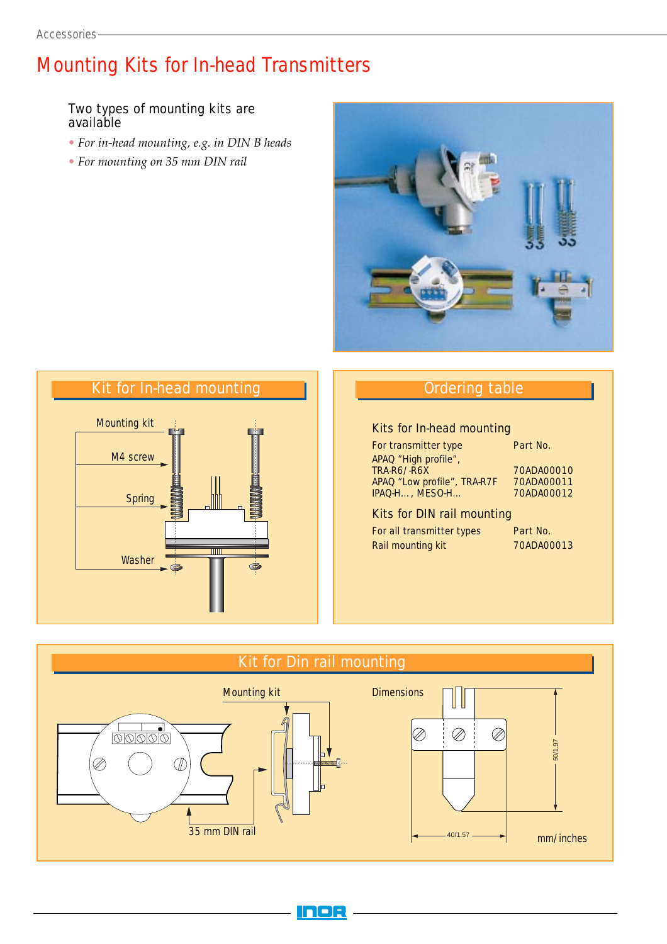# Mounting Kits for In-head Transmitters

## Two types of mounting kits are available

- *• For in-head mounting, e.g. in DIN B heads*
- *• For mounting on 35 mm DIN rail*





# Ordering table

#### Kits for In-head mounting

For transmitter type Part No. APAQ "High profile", TRA-R6/-R6X 70ADA00010 APAQ "Low profile", TRA-R7F 70ADA00011<br>IPAQ-H..., MESO-H... 70ADA00012 IPAQ-H…, MESO-H…

#### Kits for DIN rail mounting

For all transmitter types Rail mounting kit

| Part No.   |  |  |  |
|------------|--|--|--|
| 70ADA00013 |  |  |  |